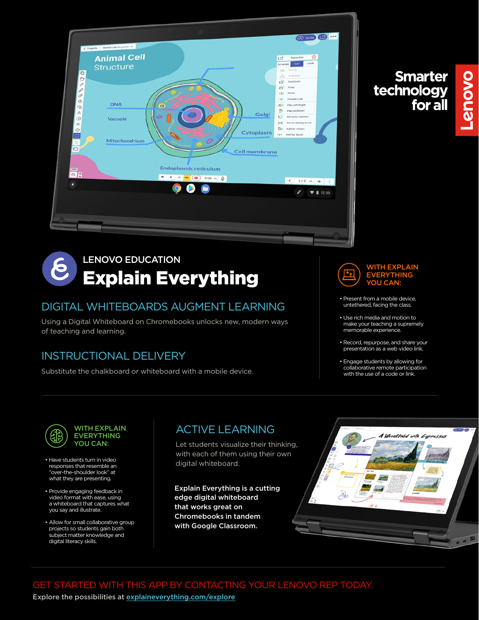

#### LENOVO EDUCATION ၉ Explain Everything

#### DIGITAL WHITEBOARDS AUGMENT LEARNING

Using a Digital Whiteboard on Chromebooks unlocks new, modern ways of teaching and learning.

#### INSTRUCTIONAL DELIVERY

Substitute the chalkboard or whiteboard with a mobile device.





**Smarter<br>technology<br>for all** 

**Lenovo** 

- Present from a mobile device, untethered, facing the class.
- Use rich media and motion to make your teaching a supremely memorable experience.
- Record, repurpose, and share your presentation as a web video link.
- Engage students by allowing for collaborative remote participation with the use of a code or link.



- Have students turn in video responses that resemble an "over-the-shoulder look" at what they are presenting.
- Provide engaging feedback in video format with ease, using a whiteboard that captures what you say and illustrate.
- Allow for small collaborative group projects so students gain both subject matter knowledge and digital literacy skills.

### ACTIVE LEARNING

Let students visualize their thinking, with each of them using their own digital whiteboard.

Explain Everything is a cutting edge digital whiteboard that works great on Chromebooks in tandem with Google Classroom.



GET STARTED WITH THIS APP BY CONTACTING YOUR LENOVO REP TODAY. Explore the possibilities at [explaineverything.com/explore](https://explaineverything.com/explore/)